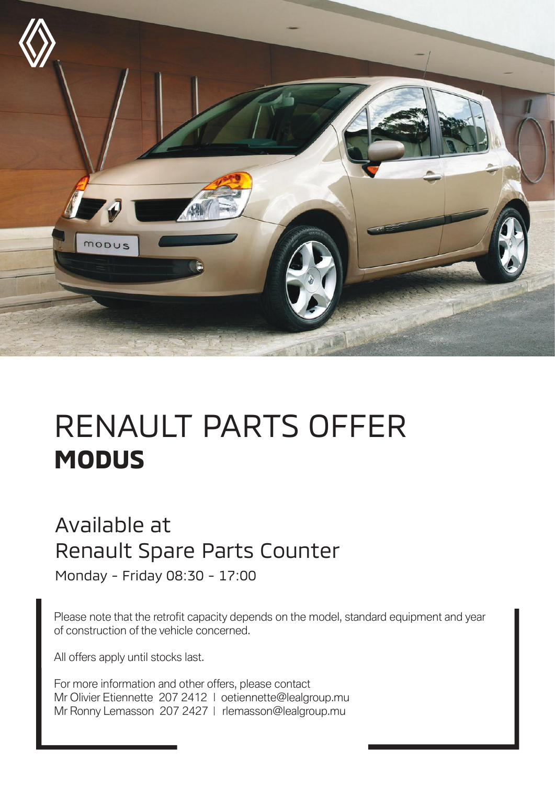

## RENAULT PARTS OFFER **MODUS**

## Available at Renault Spare Parts Counter

Monday - Friday 08:30 - 17:00

Please note that the retrofit capacity depends on the model, standard equipment and year of construction of the vehicle concerned.

All offers apply until stocks last.

For more information and other offers, please contact Mr Olivier Etiennette 207 2412 | oetiennette@lealgroup.mu Mr Ronny Lemasson 207 2427 | rlemasson@lealgroup.mu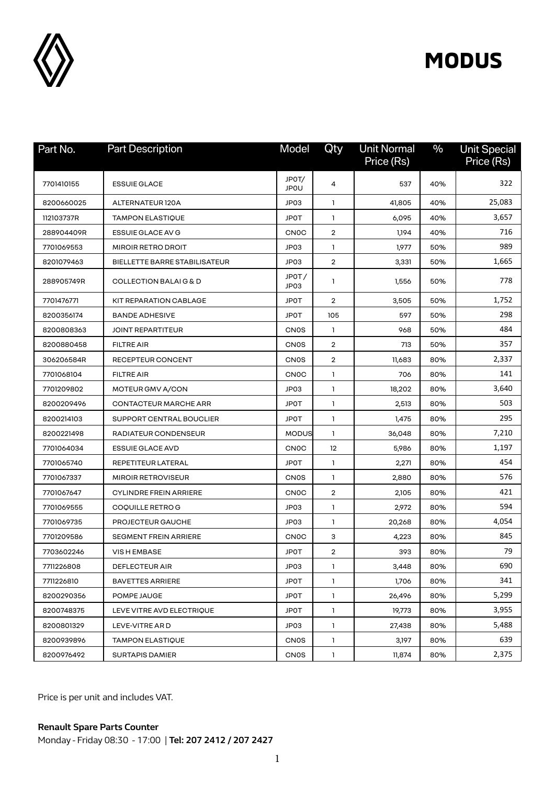

## **MODUS**

| Part No.   | <b>Part Description</b>       | Model                | Qty               | <b>Unit Normal</b><br>Price (Rs) | $\frac{0}{0}$ | <b>Unit Special</b><br>Price (Rs) |
|------------|-------------------------------|----------------------|-------------------|----------------------------------|---------------|-----------------------------------|
| 7701410155 | <b>ESSUIE GLACE</b>           | JP0T/<br><b>JPOU</b> | 4                 | 537                              | 40%           | 322                               |
| 8200660025 | ALTERNATEUR120A               | JP03                 | $\mathbf{1}$      | 41,805                           | 40%           | 25,083                            |
| 112103737R | <b>TAMPON ELASTIQUE</b>       | <b>JPOT</b>          | 1                 | 6,095                            | 40%           | 3,657                             |
| 288904409R | <b>ESSUIE GLACE AV G</b>      | <b>CNOC</b>          | $\overline{2}$    | 1,194                            | 40%           | 716                               |
| 7701069553 | <b>MIROIR RETRO DROIT</b>     | JP03                 | $\mathbf{1}$      | 1,977                            | 50%           | 989                               |
| 8201079463 | BIELLETTE BARRE STABILISATEUR | JP03                 | $\overline{2}$    | 3,331                            | 50%           | 1,665                             |
| 288905749R | COLLECTION BALAIG& D          | JP0T/<br>JP03        | $\mathbf{1}$      | 1,556                            | 50%           | 778                               |
| 7701476771 | KIT REPARATION CABLAGE        | <b>JPOT</b>          | $\overline{2}$    | 3,505                            | 50%           | 1,752                             |
| 8200356174 | <b>BANDE ADHESIVE</b>         | <b>JPOT</b>          | 105               | 597                              | 50%           | 298                               |
| 8200808363 | <b>JOINT REPARTITEUR</b>      | <b>CNOS</b>          | $\mathbf{1}$      | 968                              | 50%           | 484                               |
| 8200880458 | <b>FILTRE AIR</b>             | <b>CNOS</b>          | $\overline{2}$    | 713                              | 50%           | 357                               |
| 306206584R | RECEPTEUR CONCENT             | <b>CNOS</b>          | $\overline{2}$    | 11,683                           | 80%           | 2,337                             |
| 7701068104 | <b>FILTRE AIR</b>             | <b>CNOC</b>          | $\mathbf{1}$      | 706                              | 80%           | 141                               |
| 7701209802 | MOTEUR GMV A/CON              | JP03                 | 1                 | 18,202                           | 80%           | 3,640                             |
| 8200209496 | <b>CONTACTEUR MARCHE ARR</b>  | <b>JPOT</b>          | $\mathbf{1}$      | 2,513                            | 80%           | 503                               |
| 8200214103 | SUPPORT CENTRAL BOUCLIER      | <b>JPOT</b>          | 1                 | 1,475                            | 80%           | 295                               |
| 8200221498 | RADIATEUR CONDENSEUR          | <b>MODUS</b>         | $\mathbf{1}$      | 36,048                           | 80%           | 7,210                             |
| 7701064034 | <b>ESSUIE GLACE AVD</b>       | <b>CNOC</b>          | $12 \overline{ }$ | 5,986                            | 80%           | 1,197                             |
| 7701065740 | REPETITEUR LATERAL            | <b>JPOT</b>          | 1                 | 2,271                            | 80%           | 454                               |
| 7701067337 | <b>MIROIR RETROVISEUR</b>     | <b>CNOS</b>          | $\mathbf{1}$      | 2,880                            | 80%           | 576                               |
| 7701067647 | <b>CYLINDRE FREIN ARRIERE</b> | <b>CNOC</b>          | $\overline{2}$    | 2,105                            | 80%           | 421                               |
| 7701069555 | COQUILLE RETRO G              | JP03                 | $\mathbf{1}$      | 2,972                            | 80%           | 594                               |
| 7701069735 | PROJECTEUR GAUCHE             | JP03                 | 1                 | 20,268                           | 80%           | 4,054                             |
| 7701209586 | <b>SEGMENT FREIN ARRIERE</b>  | CNOC                 | 3                 | 4,223                            | 80%           | 845                               |
| 7703602246 | <b>VIS H EMBASE</b>           | <b>JPOT</b>          | $\overline{2}$    | 393                              | 80%           | 79                                |
| 7711226808 | <b>DEFLECTEUR AIR</b>         | JP03                 | $\mathbf{1}$      | 3,448                            | 80%           | 690                               |
| 7711226810 | <b>BAVETTES ARRIERE</b>       | <b>JPOT</b>          | 1                 | 1,706                            | 80%           | 341                               |
| 8200290356 | POMPE JAUGE                   | <b>JPOT</b>          | $\mathbf{1}$      | 26,496                           | 80%           | 5,299                             |
| 8200748375 | LEVE VITRE AVD ELECTRIQUE     | <b>JPOT</b>          | $\mathbf{1}$      | 19,773                           | 80%           | 3,955                             |
| 8200801329 | LEVE-VITRE AR D               | JP03                 | $\mathbf{1}$      | 27,438                           | 80%           | 5,488                             |
| 8200939896 | <b>TAMPON ELASTIQUE</b>       | <b>CNOS</b>          | $\mathbf{1}$      | 3,197                            | 80%           | 639                               |
| 8200976492 | <b>SURTAPIS DAMIER</b>        | <b>CNOS</b>          | $\mathbf{1}$      | 11,874                           | 80%           | 2,375                             |

Price is per unit and includes VAT.